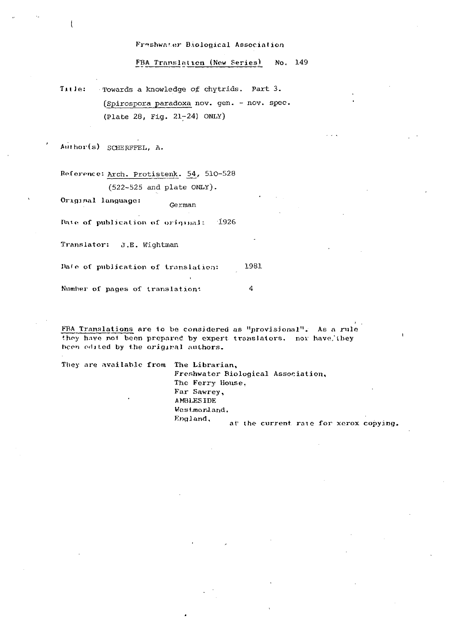Freshwater Biological Association

FBA Translation (New Series) No. 149

Title: Towards a knowledge of chytrids. Part 3. (Spirospora paradoxa nov. gen. - nov. spec. (Plate 28, Fig. 21-24) ONLY)

Author(s) SCHERFFEL, A.

Reference: Arch. Protistenk. 54, 510-528 (522-525 and plate ONLY).

Original language: German

Date of publication of original: 1926

Translator: J.E. Wightman

Date of publication of translation: 1981

Number of pages of translation: 4

FBA Translations are to be considered as "provisional". As a rule they have not been prepared by expert translators, nor have they been edited by the original authors.

They are available from The Librarian,

Freshwater Biological Association, The Ferry House, Far Sawrey, AMBLESIDE Westmorland. England, at the current rate for xerox copying.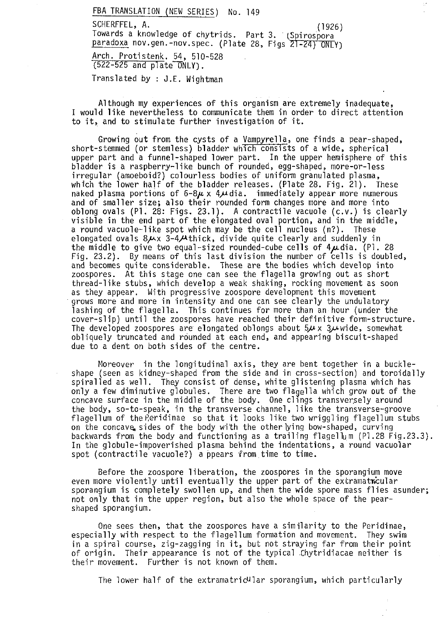FBA TRANSLATION (NEW SERIES) No. 149 SCHERFFEL, A. (1926) Towards a knowledge of chytrids. Part 3. (Spirospora paradoxa nov.gen.-nov.spec. (Plate 28, Figs 21-24) ONLY) Arch. Protistenk. 54, 510-528 (522-525 and plate ONLY).

Translated by : J.E. Wightman

Although my experiences of this organism are extremely inadequate, I would like nevertheless to communicate them in order to direct attention to it, and to stimulate further investigation of it.

Growing out from the cysts of a Vampyrella, one finds a pear-shaped, short-stemmed (or stemless) bladder which consists of a wide, spherical upper part and a funnel-shaped lower part. In the upper hemisphere of this bladder is a raspberry-like bunch of rounded, egg-shaped, more-or-less irregular (amoeboid?) colourless bodies of uniform granulated plasma, which the lower half of the bladder releases. (Plate 28. Fig. 21). These naked plasma portions of 6-8 $\mu$  x 4 $\mu$ dia. immediately appear more numerous and of smaller size; also their rounded form changes more and more into oblong ovals (P1. 28: Figs. 23.1). A contractile vacuole (c.v.) is clearly visible in the end part of the elongated oval portion, and in the middle,  $\sim$ <br>a round vacuole-like spot which may be the cell nucleus (n?). These<br>elongated ovals 8µx 3-4µthick, divide quite clearly and suddenly in<br>the mid a round vacuole-like spot which may be the cell nucleus (n?). These elongated ovals  $8/4 \times 3-4/4$ thick, divide quite clearly and suddenly in the middle to give two equal-sized rounded-cube cells of  $4 \mu$ dia. (Pl. 28 Fig. 23.2). By means of this last division the number of cells is doubled, and becomes quite considerable. These are the bodies which develop into zoospores. At this stage one can see the flagella growing out as short thread-like stubs, which develop a weak shaking, rocking movement as soon as they appear. With progressive zoospore development this movement grows more and more in intensity and one can see clearly the undulatory lashing of the flagella. This continues for more than an hour (under the cover-slip) until the zoospores have reached their definitive form-structure. The developed zoospores are elongated oblongs about  $5\mu \times 3\mu$  wide, somewhat obliquely truncated and rounded at each end, and appearing biscuit-shaped due to a dent on both sides of the centre.

Moreover in the longitudinal axis, they are bent together in a buckleshape (seen as kidney-shaped from the side and in cross-section) and toroidally spiralled as well. They consist of dense, white glistening plasma which has only a few diminutive globules. There are two flagella which grow out of the concave surface in the middle of the body. One clings transversely around the body, so-to-speak, in the transverse channel, like the transverse-groove flagellum of the Peridinae so that it looks like two wriggling flagellum stubs on the concave, sides of the body with the other lying bow-shaped, curving backwards from the body and functioning as a trailing flagellum (Pl.28 Fig.23.3). In the globule-impoverished plasma behind the indentations, a round vacuolar spot (contractile vacuole?) a ppears from time to time.

Before the zoospore liberation, the zoospores in the sporangium move even more violently until eventually the upper part of the extramatricular sporangium is completely swollen up, and then the wide spore mass flies asunder; not only that in the upper region, but also the whole space of the pearshaped sporangium.

One sees then, that the zoospores have a similarity to the Peridinae, especially with respect to the flagellum formation and movement. They swim in a spiral course, zig-zagging in it, but not straying far from their point of origin. Their appearance is not of the typical Chytridiacae neither is their movement. Further is not known of them.

The lower half of the extramatric<sup>u</sup>lar sporangium, which particularly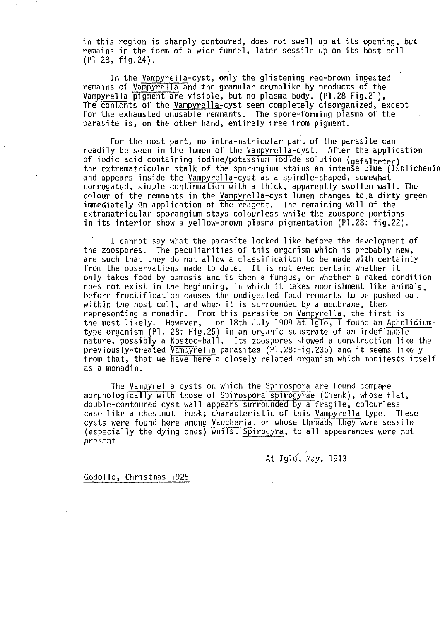in this region is sharply contoured, does not swell up at its opening, but remains in the form of a wide funnel, later sessile up on its host cell (PI 28, fig.24).

In the Vampyrella-cyst, only the glistening red-brown ingested remains of Vampyrella and the granular crumblike by-products of the Vampyrella pigment are visible, but no plasma body. (PI.28 Fig.21), The contents of the Vampyrella-cyst seem completely disorganized, except for the exhausted unusable remnants. The spore-forming plasma of the parasite is, on the other hand, entirely free from pigment.

For the most part, no intra-matricular part of the parasite can readily be seen in the lumen of the Vampyrella-cyst. After the application of iodic acid containing iodine/potassium iodide solution ( $\operatorname{gefail}$ tet $\operatorname{erj}$  , the extramatricular stalk of the sporangium stains an intense blue (Isolichenin and appears inside the Vampyrella-cyst as a spindle-shaped, somewhat corrugated, simple continuation with a thick, apparently swollen wall. The colour of the remnants in the Vampyrella-cyst lumen changes to a dirty green immediately on application of the reagent. The remaining wall of the extramatricular sporangium stays colourless while the zoospore portions in its interior show a yellow-brown plasma pigmentation (PI.28: fig.22).

I cannot say what the parasite looked like before the development of the zoospores. The peculiarities of this organism which is probably new, are such that they do not allow a classificaiton to be made with certainty from the observations made to date. It is not even certain whether it only takes food by osmosis and is then a fungus, or whether a naked condition does not exist in the beginning, in which it takes nourishment like animals, before fructification causes the undigested food remnants to be pushed out within the host cell, and when it is surrounded by a membrane, then representing a monadin. From this parasite on Vampyrella, the first is the most likely. However, on 18th July 1909 at Iglo, I found an Aphelidiumtype organism (PI. 28: Fig.25) in an organic substrate of an indefinable nature, possibly a Nostoc-ball. Its zoospores showed a construction like the previously-treated Vampyrella parasites (PI.28: Fig.23b) and it seems likely from that, that we have here a closely related organism which manifests itself as a monadin.

The Vampyrella cysts on which the Spirospora are found compare morphologically with those of Spirospora spirogyrae (Cienk), whose flat, double-contoured cyst wall appears surrounded by a fragile, colourless case like a chestnut husk; characteristic of this Vampyrella type. These cysts were found here among Vaucheria, on whose threads they were sessile (especially the dying ones) whiIst Spirogyra, to all appearances were not present.

At Igló, May. 1913

Godollo, Christmas 1925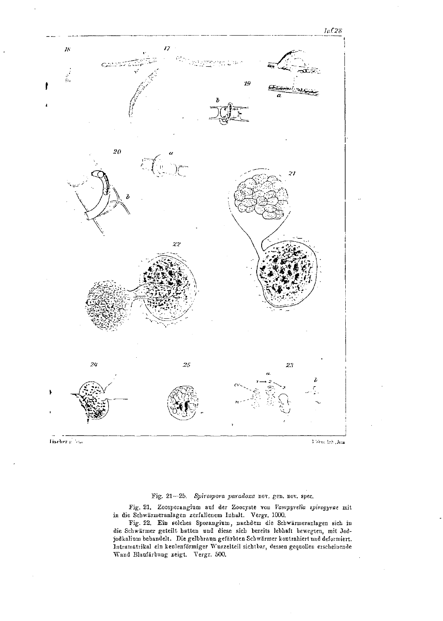

## Fischer glieba

 $7$  West  $1\%$  , Jana

## Fig. 21-25. Spirospora paradoxa nov. gen. nov. spec.

Fig. 21. Zoosporangium auf der Zoocyste von Vampyrella spirogyrae mit in die Schwärmeranlagen zerfallenem Inhalt. Vergr. 1000.

Fig. 22. Ein solches Sporangium, nachdem die Schwärmeranlagen sich in die Schwärmer geteilt hatten und diese sich bereits lebhaft bewegten, mit Jodjodkalium behandelt. Die gelbbraun gefärbten Schwärmer kontrahiert und deformiert. Intramstrikal ein keulenförmiger Wurzelteil sichtbar, dessen gequollen erscheinende Wand Blaufärbung zeigt. Vergr. 500.